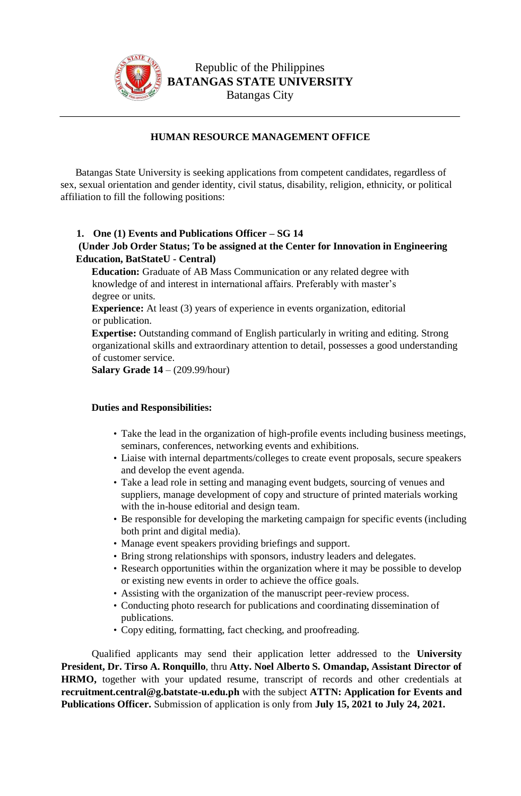

Republic of the Philippines **BATANGAS STATE UNIVERSITY** Batangas City

## **HUMAN RESOURCE MANAGEMENT OFFICE**

Batangas State University is seeking applications from competent candidates, regardless of sex, sexual orientation and gender identity, civil status, disability, religion, ethnicity, or political affiliation to fill the following positions:

## **1. One (1) Events and Publications Officer – SG 14**

## **(Under Job Order Status; To be assigned at the Center for Innovation in Engineering Education, BatStateU - Central)**

**Education:** Graduate of AB Mass Communication or any related degree with knowledge of and interest in international affairs. Preferably with master's degree or units.

**Experience:** At least (3) years of experience in events organization, editorial or publication.

**Expertise:** Outstanding command of English particularly in writing and editing. Strong organizational skills and extraordinary attention to detail, possesses a good understanding of customer service.

**Salary Grade 14** – (209.99/hour)

## **Duties and Responsibilities:**

- Take the lead in the organization of high-profile events including business meetings, seminars, conferences, networking events and exhibitions.
- Liaise with internal departments/colleges to create event proposals, secure speakers and develop the event agenda.
- Take a lead role in setting and managing event budgets, sourcing of venues and suppliers, manage development of copy and structure of printed materials working with the in-house editorial and design team.
- Be responsible for developing the marketing campaign for specific events (including both print and digital media).
- Manage event speakers providing briefings and support.
- Bring strong relationships with sponsors, industry leaders and delegates.
- Research opportunities within the organization where it may be possible to develop or existing new events in order to achieve the office goals.
- Assisting with the organization of the manuscript peer-review process.
- Conducting photo research for publications and coordinating dissemination of publications.
- Copy editing, formatting, fact checking, and proofreading.

Qualified applicants may send their application letter addressed to the **University President, Dr. Tirso A. Ronquillo**, thru **Atty. Noel Alberto S. Omandap, Assistant Director of HRMO,** together with your updated resume, transcript of records and other credentials at **recruitment.central@g.batstate-u.edu.ph** with the subject **ATTN: Application for Events and Publications Officer.** Submission of application is only from **July 15, 2021 to July 24, 2021.**